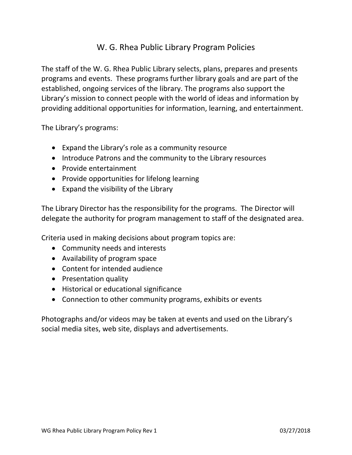## W. G. Rhea Public Library Program Policies

The staff of the W. G. Rhea Public Library selects, plans, prepares and presents programs and events. These programs further library goals and are part of the established, ongoing services of the library. The programs also support the Library's mission to connect people with the world of ideas and information by providing additional opportunities for information, learning, and entertainment.

The Library's programs:

- Expand the Library's role as a community resource
- Introduce Patrons and the community to the Library resources
- Provide entertainment
- Provide opportunities for lifelong learning
- Expand the visibility of the Library

The Library Director has the responsibility for the programs. The Director will delegate the authority for program management to staff of the designated area.

Criteria used in making decisions about program topics are:

- Community needs and interests
- Availability of program space
- Content for intended audience
- Presentation quality
- Historical or educational significance
- Connection to other community programs, exhibits or events

Photographs and/or videos may be taken at events and used on the Library's social media sites, web site, displays and advertisements.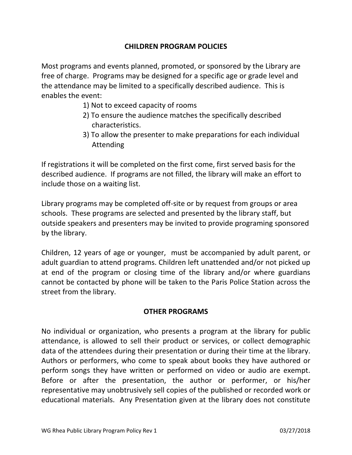## **CHILDREN PROGRAM POLICIES**

Most programs and events planned, promoted, or sponsored by the Library are free of charge. Programs may be designed for a specific age or grade level and the attendance may be limited to a specifically described audience. This is enables the event:

- 1) Not to exceed capacity of rooms
- 2) To ensure the audience matches the specifically described characteristics.
- 3) To allow the presenter to make preparations for each individual Attending

If registrations it will be completed on the first come, first served basis for the described audience. If programs are not filled, the library will make an effort to include those on a waiting list.

Library programs may be completed off‐site or by request from groups or area schools. These programs are selected and presented by the library staff, but outside speakers and presenters may be invited to provide programing sponsored by the library.

Children, 12 years of age or younger, must be accompanied by adult parent, or adult guardian to attend programs. Children left unattended and/or not picked up at end of the program or closing time of the library and/or where guardians cannot be contacted by phone will be taken to the Paris Police Station across the street from the library.

## **OTHER PROGRAMS**

No individual or organization, who presents a program at the library for public attendance, is allowed to sell their product or services, or collect demographic data of the attendees during their presentation or during their time at the library. Authors or performers, who come to speak about books they have authored or perform songs they have written or performed on video or audio are exempt. Before or after the presentation, the author or performer, or his/her representative may unobtrusively sell copies of the published or recorded work or educational materials. Any Presentation given at the library does not constitute